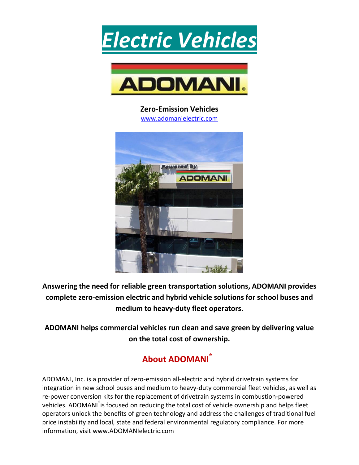



**Zero-Emission Vehicles** [www.adomanielectric.com](http://www.adomanielectric.com/)



**Answering the need for reliable green transportation solutions, ADOMANI provides complete zero-emission electric and hybrid vehicle solutions for school buses and medium to heavy-duty fleet operators.**

**ADOMANI helps commercial vehicles run clean and save green by delivering value on the total cost of ownership.**

## **About ADOMANI®**

ADOMANI, Inc. is a provider of zero-emission all-electric and hybrid drivetrain systems for integration in new school buses and medium to heavy-duty commercial fleet vehicles, as well as re-power conversion kits for the replacement of drivetrain systems in combustion-powered vehicles. ADOMANI<sup>®</sup>is focused on reducing the total cost of vehicle ownership and helps fleet operators unlock the benefits of green technology and address the challenges of traditional fuel price instability and local, state and federal environmental regulatory compliance. For more information, visit [www.ADOMANIelectric.com](http://pr.report/COyNF8fg)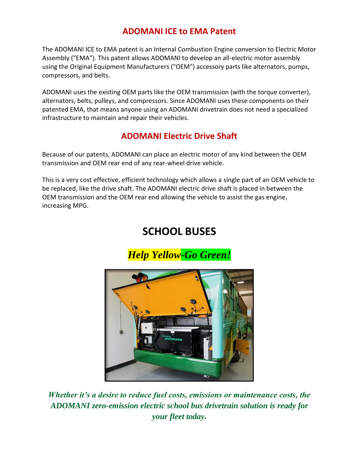### **ADOMANI ICE to EMA Patent**

The ADOMANI ICE to EMA patent is an Internal Combustion Engine conversion to Electric Motor Assembly ("EMA"). This patent allows ADOMANI to develop an all-electric motor assembly using the Original Equipment Manufacturers ("OEM") accessory parts like alternators, pumps, compressors, and belts.

ADOMANI uses the existing OEM parts like the OEM transmission (with the torque converter), alternators, belts, pulleys, and compressors. Since ADOMANI uses these components on their patented EMA, that means anyone using an ADOMANI drivetrain does not need a specialized infrastructure to maintain and repair their vehicles.

### **ADOMANI Electric Drive Shaft**

Because of our patents, ADOMANI can place an electric motor of any kind between the OEM transmission and OEM rear end of any rear-wheel drive vehicle.

This is a very cost effective, efficient technology which allows a single part of an OEM vehicle to be replaced, like the drive shaft. The ADOMANI electric drive shaft is placed in between the OEM transmission and the OEM rear end allowing the vehicle to assist the gas engine, increasing MPG.

# **SCHOOL BUSES**

*Help Yellow-Go Green!*



*Whether it's a desire to reduce fuel costs, emissions or maintenance costs, the ADOMANI zero-emission electric school bus drivetrain solution is ready for your fleet today.*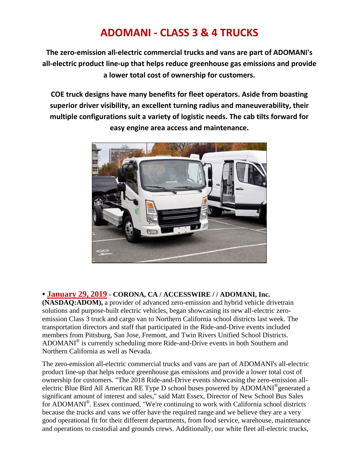## **ADOMANI - CLASS 3 & 4 TRUCKS**

**The zero-emission all-electric commercial trucks and vans are part of ADOMANI's all-electric product line-up that helps reduce greenhouse gas emissions and provide a lower total cost of ownership for customers.**

**COE truck designs have many benefits for fleet operators. Aside from boasting superior driver visibility, an excellent turning radius and maneuverability, their multiple configurations suit a variety of logistic needs. The cab tilts forward for easy engine area access and maintenance.**



#### **• January 29, 2019 - CORONA, CA / ACCESSWIRE / / ADOMANI, Inc.**

**(NASDAQ[:ADOM\)](http://www.nasdaq.com/symbol/adom),** a provider of advanced zero-emission and hybrid vehicle drivetrain solutions and purpose-built electric vehicles, began showcasing its new all-electric zeroemission Class 3 truck and cargo van to Northern California school districts last week. The transportation directors and staff that participated in the Ride-and-Drive events included members from Pittsburg, San Jose, Fremont, and Twin Rivers Unified School Districts. ADOMANI® is currently scheduling more Ride-and-Drive events in both Southern and Northern California as well as Nevada.

The zero-emission all-electric commercial trucks and vans are part of ADOMANI's all-electric product line-up that helps reduce greenhouse gas emissions and provide a lower total cost of ownership for customers. "The 2018 Ride-and-Drive events showcasing the zero-emission allelectric Blue Bird All American RE Type D school buses powered by ADOMANI<sup>®</sup>generated a significant amount of interest and sales," said Matt Essex, Director of New School Bus Sales for ADOMANI<sup>®</sup>. Essex continued, "We're continuing to work with California school districts because the trucks and vans we offer have the required range and we believe they are a very good operational fit for their different departments, from food service, warehouse, maintenance and operations to custodial and grounds crews. Additionally, our white fleet all-electric trucks,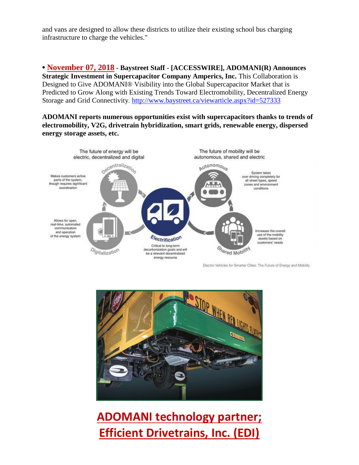and vans are designed to allow these districts to utilize their existing school bus charging infrastructure to charge the vehicles."

**• November 07, 2018 - Baystreet Staff - [ACCESSWIRE], ADOMANI(R) Announces Strategic Investment in Supercapacitor Company Amperics, Inc. This Collaboration is** Designed to Give ADOMANI® Visibility into the Global Supercapacitor Market that is Predicted to Grow Along with Existing Trends Toward Electromobility, Decentralized Energy Storage and Grid Connectivity.<http://www.baystreet.ca/viewarticle.aspx?id=527333>

**ADOMANI reports numerous opportunities exist with supercapacitors thanks to trends of electromobility, V2G, drivetrain hybridization, smart grids, renewable energy, dispersed energy storage assets, etc.**



Electric Vehicles for Smarter Cities: The Future of Energy and Mobility



# **[ADOMANI](http://pr.report/krue1s39) technology partner; Efficient Drivetrains, Inc. (EDI)**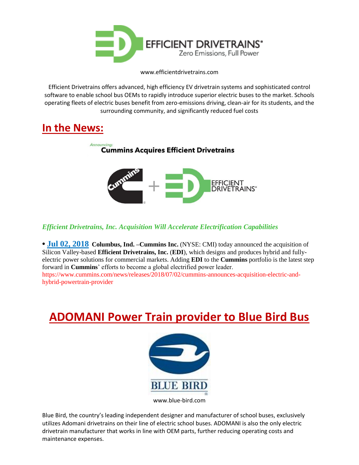

www.efficientdrivetrains.com

Efficient Drivetrains offers advanced, high efficiency EV drivetrain systems and sophisticated control software to enable school bus OEMs to rapidly introduce superior electric buses to the market. Schools operating fleets of electric buses benefit from zero-emissions driving, clean-air for its students, and the surrounding community, and significantly reduced fuel costs

## **In the News:**



*Efficient Drivetrains, Inc. Acquisition Will Accelerate Electrification Capabilities*

**• Jul 02, 2018 Columbus, Ind. –Cummins Inc.** (NYSE: CMI) today announced the acquisition of Silicon Valley-based **Efficient Drivetrains, Inc.** (**EDI**), which designs and produces hybrid and fullyelectric power solutions for commercial markets. Adding **EDI** to the **Cummins** portfolio is the latest step forward in **Cummins**' efforts to become a global electrified power leader. https://www.cummins.com/news/releases/2018/07/02/cummins-announces-acquisition-electric-andhybrid-powertrain-provider

# **[ADOMANI](http://pr.report/krue1s39) Power Train provider to Blue Bird Bus**



www.blue-bird.com

Blue Bird, the country's leading independent designer and manufacturer of school buses, exclusively utilizes Adomani drivetrains on their line of electric school buses. ADOMANI is also the only electric drivetrain manufacturer that works in line with OEM parts, further reducing operating costs and maintenance expenses.